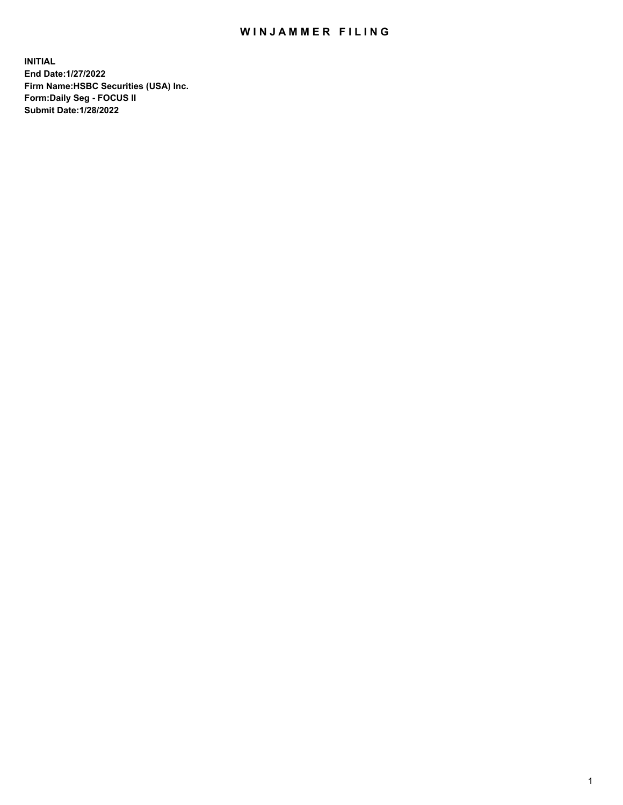## WIN JAMMER FILING

**INITIAL End Date:1/27/2022 Firm Name:HSBC Securities (USA) Inc. Form:Daily Seg - FOCUS II Submit Date:1/28/2022**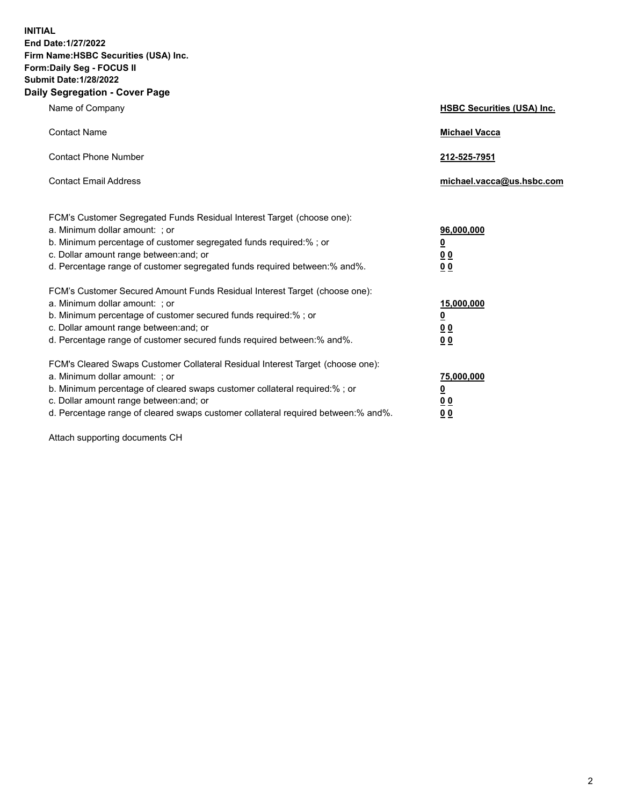**INITIAL End Date:1/27/2022 Firm Name:HSBC Securities (USA) Inc. Form:Daily Seg - FOCUS II Submit Date:1/28/2022 Daily Segregation - Cover Page**

| Name of Company                                                                                                                                                                                                                                                                                                                | <b>HSBC Securities (USA) Inc.</b>                          |
|--------------------------------------------------------------------------------------------------------------------------------------------------------------------------------------------------------------------------------------------------------------------------------------------------------------------------------|------------------------------------------------------------|
| <b>Contact Name</b>                                                                                                                                                                                                                                                                                                            | <b>Michael Vacca</b>                                       |
| <b>Contact Phone Number</b>                                                                                                                                                                                                                                                                                                    | 212-525-7951                                               |
| <b>Contact Email Address</b>                                                                                                                                                                                                                                                                                                   | michael.vacca@us.hsbc.com                                  |
| FCM's Customer Segregated Funds Residual Interest Target (choose one):<br>a. Minimum dollar amount: ; or<br>b. Minimum percentage of customer segregated funds required:%; or<br>c. Dollar amount range between: and; or<br>d. Percentage range of customer segregated funds required between: % and %.                        | 96,000,000<br><u>0</u><br>00<br>0 <sub>0</sub>             |
| FCM's Customer Secured Amount Funds Residual Interest Target (choose one):<br>a. Minimum dollar amount: ; or<br>b. Minimum percentage of customer secured funds required:%; or<br>c. Dollar amount range between: and; or<br>d. Percentage range of customer secured funds required between: % and %.                          | 15,000,000<br><u>0</u><br>0 <sub>0</sub><br>0 <sub>0</sub> |
| FCM's Cleared Swaps Customer Collateral Residual Interest Target (choose one):<br>a. Minimum dollar amount: ; or<br>b. Minimum percentage of cleared swaps customer collateral required:% ; or<br>c. Dollar amount range between: and; or<br>d. Percentage range of cleared swaps customer collateral required between:% and%. | 75,000,000<br><u>0</u><br><u>00</u><br>00                  |

Attach supporting documents CH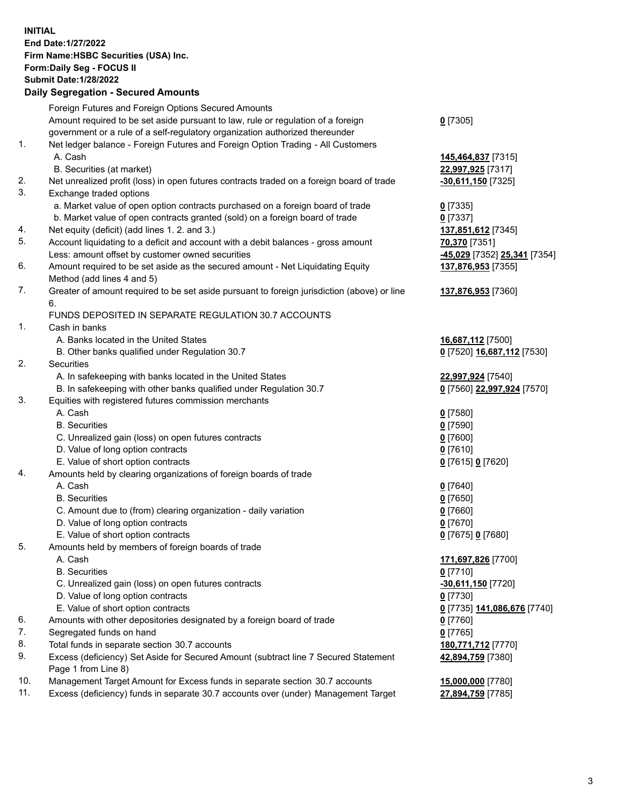**INITIAL End Date:1/27/2022 Firm Name:HSBC Securities (USA) Inc. Form:Daily Seg - FOCUS II Submit Date:1/28/2022 Daily Segregation - Secured Amounts** Foreign Futures and Foreign Options Secured Amounts Amount required to be set aside pursuant to law, rule or regulation of a foreign government or a rule of a self-regulatory organization authorized thereunder **0** [7305] 1. Net ledger balance - Foreign Futures and Foreign Option Trading - All Customers A. Cash **145,464,837** [7315] B. Securities (at market) **22,997,925** [7317] 2. Net unrealized profit (loss) in open futures contracts traded on a foreign board of trade **-30,611,150** [7325] 3. Exchange traded options a. Market value of open option contracts purchased on a foreign board of trade **0** [7335] b. Market value of open contracts granted (sold) on a foreign board of trade **0** [7337] 4. Net equity (deficit) (add lines 1. 2. and 3.) **137,851,612** [7345] 5. Account liquidating to a deficit and account with a debit balances - gross amount **70,370** [7351] Less: amount offset by customer owned securities **-45,029** [7352] **25,341** [7354] 6. Amount required to be set aside as the secured amount - Net Liquidating Equity Method (add lines 4 and 5) **137,876,953** [7355] 7. Greater of amount required to be set aside pursuant to foreign jurisdiction (above) or line 6. **137,876,953** [7360] FUNDS DEPOSITED IN SEPARATE REGULATION 30.7 ACCOUNTS 1. Cash in banks A. Banks located in the United States **16,687,112** [7500] B. Other banks qualified under Regulation 30.7 **0** [7520] **16,687,112** [7530] 2. Securities A. In safekeeping with banks located in the United States **22,997,924** [7540] B. In safekeeping with other banks qualified under Regulation 30.7 **0** [7560] **22,997,924** [7570] 3. Equities with registered futures commission merchants A. Cash **0** [7580] B. Securities **0** [7590] C. Unrealized gain (loss) on open futures contracts **0** [7600] D. Value of long option contracts **0** [7610] E. Value of short option contracts **0** [7615] **0** [7620] 4. Amounts held by clearing organizations of foreign boards of trade A. Cash **0** [7640] B. Securities **0** [7650] C. Amount due to (from) clearing organization - daily variation **0** [7660] D. Value of long option contracts **0** [7670] E. Value of short option contracts **0** [7675] **0** [7680] 5. Amounts held by members of foreign boards of trade A. Cash **171,697,826** [7700] B. Securities **0** [7710] C. Unrealized gain (loss) on open futures contracts **-30,611,150** [7720] D. Value of long option contracts **0** [7730] E. Value of short option contracts **0** [7735] **141,086,676** [7740] 6. Amounts with other depositories designated by a foreign board of trade **0** [7760] 7. Segregated funds on hand **0** [7765] 8. Total funds in separate section 30.7 accounts **180,771,712** [7770] 9. Excess (deficiency) Set Aside for Secured Amount (subtract line 7 Secured Statement Page 1 from Line 8) **42,894,759** [7380]

10. Management Target Amount for Excess funds in separate section 30.7 accounts **15,000,000** [7780]

11. Excess (deficiency) funds in separate 30.7 accounts over (under) Management Target **27,894,759** [7785]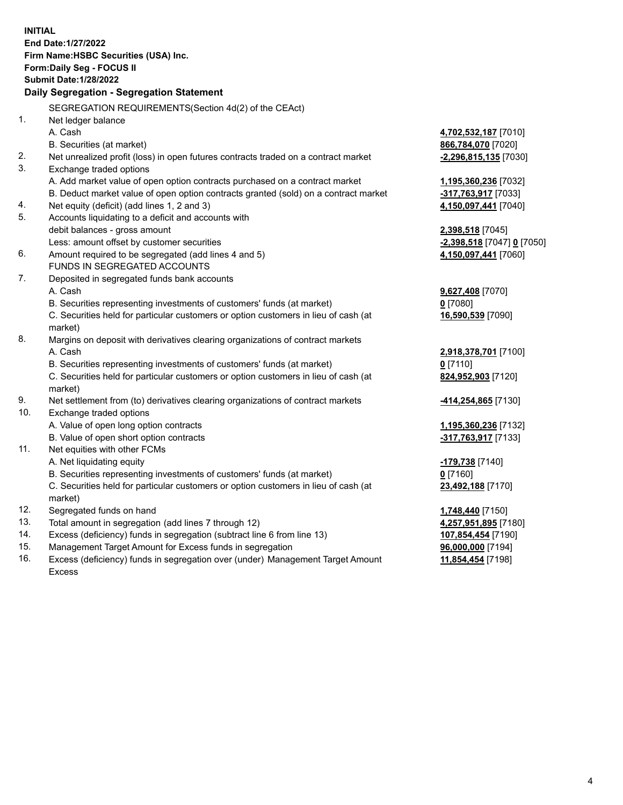|     | <b>INITIAL</b>                                                                      |                           |
|-----|-------------------------------------------------------------------------------------|---------------------------|
|     | End Date: 1/27/2022                                                                 |                           |
|     | Firm Name: HSBC Securities (USA) Inc.                                               |                           |
|     | <b>Form:Daily Seg - FOCUS II</b>                                                    |                           |
|     | <b>Submit Date: 1/28/2022</b>                                                       |                           |
|     | Daily Segregation - Segregation Statement                                           |                           |
|     | SEGREGATION REQUIREMENTS(Section 4d(2) of the CEAct)                                |                           |
| 1.  | Net ledger balance                                                                  |                           |
|     | A. Cash                                                                             | 4,702,532,187 [7010]      |
|     | B. Securities (at market)                                                           | 866,784,070 [7020]        |
| 2.  | Net unrealized profit (loss) in open futures contracts traded on a contract market  | $-2,296,815,135$ [7030]   |
| 3.  | Exchange traded options                                                             |                           |
|     | A. Add market value of open option contracts purchased on a contract market         | 1,195,360,236 [7032]      |
|     | B. Deduct market value of open option contracts granted (sold) on a contract market | -317,763,917 [7033]       |
| 4.  | Net equity (deficit) (add lines 1, 2 and 3)                                         | 4,150,097,441 [7040]      |
| 5.  | Accounts liquidating to a deficit and accounts with                                 |                           |
|     | debit balances - gross amount                                                       | <u>2,398,518</u> [7045]   |
|     | Less: amount offset by customer securities                                          | 2,398,518 [7047] 0 [7050] |
| 6.  | Amount required to be segregated (add lines 4 and 5)                                | 4,150,097,441 [7060]      |
|     | <b>FUNDS IN SEGREGATED ACCOUNTS</b>                                                 |                           |
| 7.  | Deposited in segregated funds bank accounts                                         |                           |
|     | A. Cash                                                                             | 9,627,408 [7070]          |
|     | B. Securities representing investments of customers' funds (at market)              | <u>0</u> [7080]           |
|     | C. Securities held for particular customers or option customers in lieu of cash (at | 16,590,539 [7090]         |
|     | market)                                                                             |                           |
| 8.  | Margins on deposit with derivatives clearing organizations of contract markets      |                           |
|     | A. Cash                                                                             | 2,918,378,701 [7100]      |
|     | B. Securities representing investments of customers' funds (at market)              | $0$ [7110]                |
|     | C. Securities held for particular customers or option customers in lieu of cash (at | 824,952,903 [7120]        |
|     | market)                                                                             |                           |
| 9.  | Net settlement from (to) derivatives clearing organizations of contract markets     | 414,254,865 [7130]        |
| 10. | Exchange traded options                                                             |                           |
|     | A. Value of open long option contracts                                              | 1,195,360,236 [7132]      |
|     | B. Value of open short option contracts                                             | -317,763,917 [7133]       |
| 11. | Net equities with other FCMs                                                        |                           |
|     | A. Net liquidating equity                                                           | <u>-179,738</u> [7140]    |
|     | B. Securities representing investments of customers' funds (at market)              | $0$ [7160]                |
|     | C. Securities held for particular customers or option customers in lieu of cash (at | 23,492,188 [7170]         |
|     | market)                                                                             |                           |
| 12. | Segregated funds on hand                                                            | 1,748,440 [7150]          |
| 13. | Total amount in segregation (add lines 7 through 12)                                | 4,257,951,895 [7180]      |
| 14. | Excess (deficiency) funds in segregation (subtract line 6 from line 13)             | 107,854,454 [7190]        |
| 15. | Management Target Amount for Excess funds in segregation                            | 96,000,000 [7194]         |

16. Excess (deficiency) funds in segregation over (under) Management Target Amount Excess

**11,854,454** [7198]